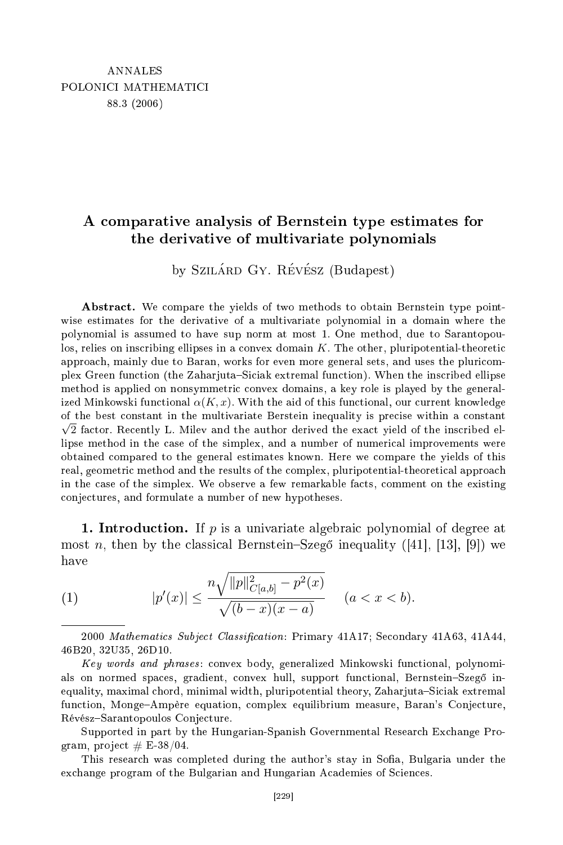## A omparative analysis of Bernstein type estimates for the derivative of multivariate polynomials

by SZILÁRD GY. RÉVÉSZ (Budapest)

Abstract. We compare the yields of two methods to obtain Bernstein type pointwise estimates for the derivative of a multivariate polynomial in a domain where the polynomial is assumed to have sup norm at most 1. One method, due to Sarantopoulos, relies on inscribing ellipses in a convex domain  $K$ . The other, pluripotential-theoretic approa
h, mainly due to Baran, works for even more general sets, and uses the pluri
omplex Green function (the Zaharjuta–Siciak extremal function). When the inscribed ellipse method is applied on nonsymmetric convex domains, a key role is played by the generalized Minkowski functional  $\alpha(K, x)$ . With the aid of this functional, our current knowledge of the best onstant in the multivariate Berstein inequality is pre
ise within a onstant  $\sqrt{2}$  factor. Recently L. Milev and the author derived the exact yield of the inscribed ellipse method in the case of the simplex, and a number of numerical improvements were obtained ompared to the general estimates known. Here we ompare the yields of this real, geometric method and the results of the complex, pluripotential-theoretical approach in the case of the simplex. We observe a few remarkable facts, comment on the existing onje
tures, and formulate a number of new hypotheses.

1. Introduction. If  $p$  is a univariate algebraic polynomial of degree at most n, then by the classical Bernstein–Szegő inequality  $([41], [13], [9])$  we have

(1) 
$$
|p'(x)| \leq \frac{n\sqrt{\|p\|_{C[a,b]}^2 - p^2(x)}}{\sqrt{(b-x)(x-a)}} \quad (a < x < b).
$$

2000 Mathematics Subject Classification: Primary 41A17; Secondary 41A63, 41A44, 46B20, 32U35, 26D10.

Key words and phrases: convex body, generalized Minkowski functional, polynomials on normed spaces, gradient, convex hull, support functional, Bernstein-Szegő inequality, maximal chord, minimal width, pluripotential theory, Zaharjuta-Siciak extremal function, Monge-Ampère equation, complex equilibrium measure, Baran's Conjecture, Révész-Sarantopoulos Conjecture.

Supported in part by the Hungarian-Spanish Governmental Resear
h Ex
hange Program, project  $# \text{ E-38/04}.$ 

This research was completed during the author's stay in Sofia, Bulgaria under the exchange program of the Bulgarian and Hungarian Academies of Sciences.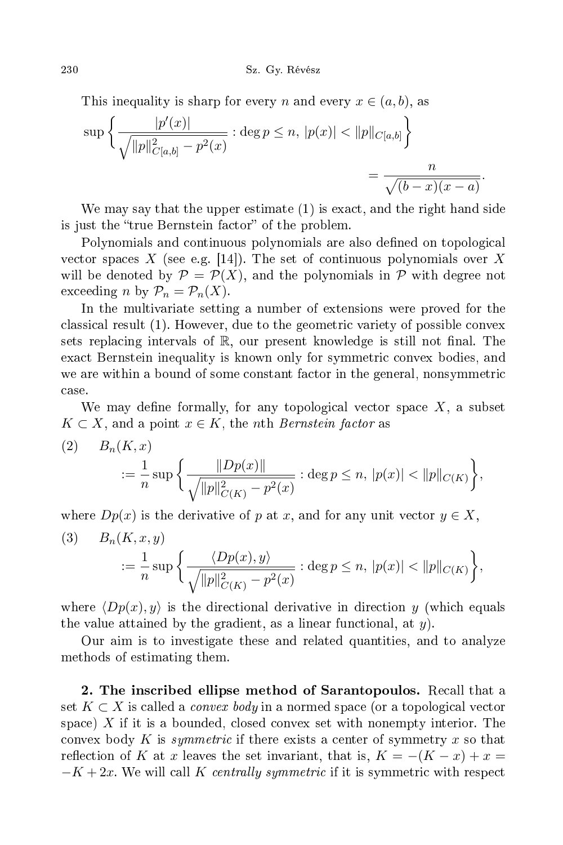This inequality is sharp for every n and every  $x \in (a, b)$ , as

$$
\sup \left\{ \frac{|p'(x)|}{\sqrt{||p||_{C[a,b]}^2 - p^2(x)}} : \deg p \le n, \, |p(x)| < ||p||_{C[a,b]} \right\} = \frac{n}{\sqrt{(b-x)(x-a)}}.
$$

We may say that the upper estimate (1) is exact, and the right hand side is just the "true Bernstein factor" of the problem.

Polynomials and continuous polynomials are also defined on topological vector spaces X (see e.g. [14]). The set of continuous polynomials over X will be denoted by  $\mathcal{P} = \mathcal{P}(X)$ , and the polynomials in  $\mathcal{P}$  with degree not exceeding *n* by  $\mathcal{P}_n = \mathcal{P}_n(X)$ .

In the multivariate setting a number of extensions were proved for the classical result (1). However, due to the geometric variety of possible convex sets replacing intervals of  $\mathbb{R}$ , our present knowledge is still not final. The exact Bernstein inequality is known only for symmetric convex bodies, and we are within a bound of some constant factor in the general, nonsymmetric ase.

We may define formally, for any topological vector space  $X$ , a subset  $K \subset X$ , and a point  $x \in K$ , the *n*th *Bernstein factor* as

(2) 
$$
B_n(K, x) = \frac{1}{n} \sup \left\{ \frac{\|Dp(x)\|}{\sqrt{\|p\|_{C(K)}^2 - p^2(x)}} : \deg p \le n, |p(x)| < \|p\|_{C(K)} \right\},\
$$

where  $Dp(x)$  is the derivative of p at x, and for any unit vector  $y \in X$ ,  $(3)$   $B_n(K, x, y)$ 

$$
:=\frac{1}{n}\sup\bigg\{\frac{\langle Dp(x),y\rangle}{\sqrt{\|p\|_{C(K)}^2-p^2(x)}}:\deg p\leq n,\,|p(x)|<\|p\|_{C(K)}\bigg\},\,
$$

where  $\langle Dp(x), y \rangle$  is the directional derivative in direction y (which equals the value attained by the gradient, as a linear functional, at  $y$ ).

Our aim is to investigate these and related quantities, and to analyze methods of estimating them.

2. The ins
ribed ellipse method of Sarantopoulos. Re
all that a set  $K \subset X$  is called a *convex body* in a normed space (or a topological vector space) X if it is a bounded, closed convex set with nonempty interior. The convex body K is symmetric if there exists a center of symmetry x so that reflection of K at x leaves the set invariant, that is,  $K = -(K - x) + x =$  $-K + 2x$ . We will call K centrally symmetric if it is symmetric with respect

230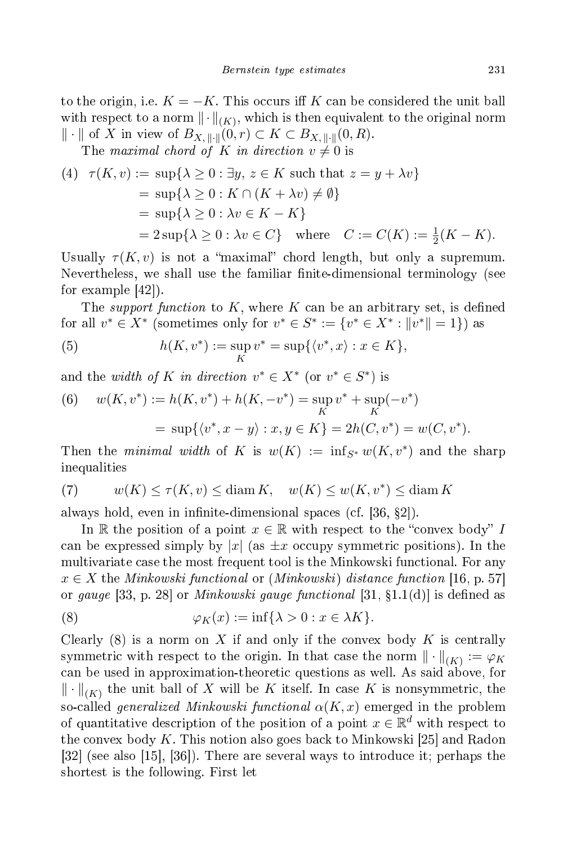to the origin, i.e.  $K = -K$ . This occurs iff K can be considered the unit ball with respect to a norm  $\|\cdot\|_{(K)}$ , which is then equivalent to the original norm  $\Vert \cdot \Vert$  of X in view of  $B_{X, \Vert \cdot \Vert}(0, r) \subset K \subset B_{X, \Vert \cdot \Vert}(0, R).$ 

The maximal chord of K in direction  $v \neq 0$  is

(4) 
$$
\tau(K, v) := \sup \{ \lambda \ge 0 : \exists y, z \in K \text{ such that } z = y + \lambda v \}
$$

$$
= \sup \{ \lambda \ge 0 : K \cap (K + \lambda v) \ne \emptyset \}
$$

$$
= \sup \{ \lambda \ge 0 : \lambda v \in K - K \}
$$

$$
= 2 \sup \{ \lambda \ge 0 : \lambda v \in C \} \text{ where } C := C(K) := \frac{1}{2}(K - K).
$$

Usually  $\tau(K, v)$  is not a "maximal" chord length, but only a supremum. Nevertheless, we shall use the familiar finite-dimensional terminology (see for example  $[42]$ .

The *support function* to K, where K can be an arbitrary set, is defined for all  $v^* \in X^*$  (sometimes only for  $v^* \in S^* := \{v^* \in X^* : ||v^*|| = 1\}$ ) as

(5) 
$$
h(K, v^*) := \sup_K v^* = \sup \{ \langle v^*, x \rangle : x \in K \},
$$

and the *width of* K in direction  $v^* \in X^*$  (or  $v^* \in S^*$ ) is

(6) 
$$
w(K, v^*) := h(K, v^*) + h(K, -v^*) = \sup_K v^* + \sup_K (-v^*)
$$

$$
= \sup \{ \langle v^*, x - y \rangle : x, y \in K \} = 2h(C, v^*) = w(C, v^*).
$$

Then the minimal width of K is  $w(K) := \inf_{S^*} w(K, v^*)$  and the sharp inequalities

(7) 
$$
w(K) \le \tau(K, v) \le \text{diam } K, \quad w(K) \le w(K, v^*) \le \text{diam } K
$$

always hold, even in infinite-dimensional spaces (cf. [36, §2]).

In R the position of a point  $x \in \mathbb{R}$  with respect to the "convex body" I can be expressed simply by |x| (as  $\pm x$  occupy symmetric positions). In the multivariate case the most frequent tool is the Minkowski functional. For any  $x \in X$  the Minkowski functional or (Minkowski) distance function [16, p. 57] or gauge [33, p. 28] or *Minkowski gauge functional* [31,  $\S 1.1(d)$ ] is defined as

(8) 
$$
\varphi_K(x) := \inf \{ \lambda > 0 : x \in \lambda K \}.
$$

Clearly  $(8)$  is a norm on X if and only if the convex body K is centrally symmetric with respect to the origin. In that case the norm  $\|\cdot\|_{(K)} := \varphi_K$ an be used in approximation-theoreti questions as well. As said above, for  $\left\| \cdot \right\|_{\left(K\right)}$  the unit ball of  $X$  will be  $K$  itself. In case  $K$  is nonsymmetric, the so-called generalized Minkowski functional  $\alpha(K, x)$  emerged in the problem of quantitative description of the position of a point  $x \in \mathbb{R}^d$  with respect to the convex body K. This notion also goes back to Minkowski [25] and Radon  $[32]$  (see also  $[15]$ ,  $[36]$ ). There are several ways to introduce it; perhaps the shortest is the following. First let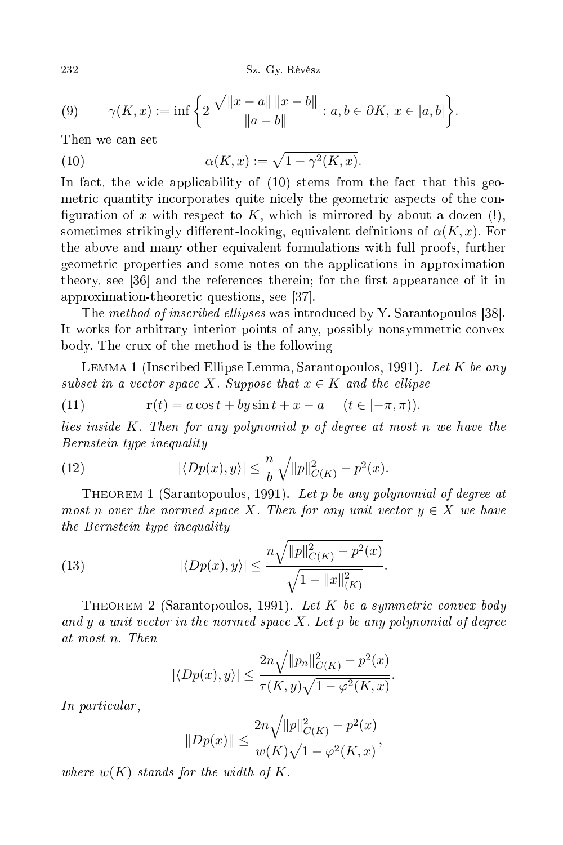232 Sz. Gyermenete a szerepelt a települészek előfogyak a között a között a között a között a között a között a

(9) 
$$
\gamma(K, x) := \inf \left\{ 2 \frac{\sqrt{\|x-a\| \|x-b\|}}{\|a-b\|} : a, b \in \partial K, x \in [a, b] \right\}.
$$

Then we can set

(10) 
$$
\alpha(K, x) := \sqrt{1 - \gamma^2(K, x)}.
$$

In fact, the wide applicability of  $(10)$  stems from the fact that this geometric quantity incorporates quite nicely the geometric aspects of the configuration of x with respect to K, which is mirrored by about a dozen  $(!)$ , sometimes strikingly different-looking, equivalent definitions of  $\alpha(K, x)$ . For the above and many other equivalent formulations with full proofs, further geometri properties and some notes on the appli
ations in approximation theory, see [36] and the references therein; for the first appearance of it in approximation-theoretic questions, see [37].

The method of inscribed ellipses was introduced by Y. Sarantopoulos [38]. It works for arbitrary interior points of any, possibly nonsymmetric convex body. The rux of the method is the following

LEMMA 1 (Inscribed Ellipse Lemma, Sarantopoulos, 1991). Let K be any subset in a vector space X. Suppose that  $x \in K$  and the ellipse

(11) 
$$
\mathbf{r}(t) = a\cos t + by\sin t + x - a \quad (t \in [-\pi, \pi)).
$$

lies inside  $K$ . Then for any polynomial  $p$  of degree at most  $n$  we have the Bernstein type inequality

(12) 
$$
|\langle Dp(x), y \rangle| \leq \frac{n}{b} \sqrt{\|p\|_{C(K)}^2 - p^2(x)}.
$$

THEOREM 1 (Sarantopoulos, 1991). Let p be any polynomial of degree at most n over the normed space X. Then for any unit vector  $y \in X$  we have the  $B$  the Bernstein type in the  $B$ 

(13) 
$$
|\langle Dp(x), y \rangle| \leq \frac{n \sqrt{\|p\|_{C(K)}^2 - p^2(x)}}{\sqrt{1 - \|x\|_{(K)}^2}}.
$$

THEOREM 2 (Sarantopoulos, 1991). Let K be a symmetric convex body and  $y$  a unit vector in the normed space  $X$ . Let  $p$  be any polynomial of degree at most n. Then

$$
|\langle Dp(x), y \rangle| \leq \frac{2n\sqrt{||p_n||^2_{C(K)} - p^2(x)}}{\tau(K, y)\sqrt{1 - \varphi^2(K, x)}}.
$$

In parti
ular ,

$$
||Dp(x)|| \le \frac{2n\sqrt{||p||^2_{C(K)} - p^2(x)}}{w(K)\sqrt{1 - \varphi^2(K, x)}},
$$

where  $w(K)$  stands for the width of K.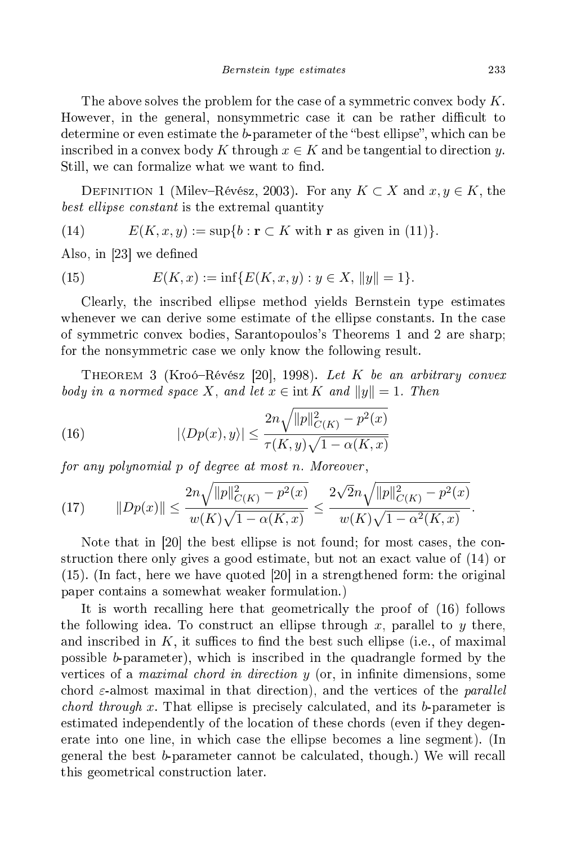The above solves the problem for the case of a symmetric convex body  $K$ . However, in the general, nonsymmetric case it can be rather difficult to determine or even estimate the *b*-parameter of the "best ellipse", which can be inscribed in a convex body K through  $x \in K$  and be tangential to direction y. Still, we can formalize what we want to find.

DEFINITION 1 (Milev–Révész, 2003). For any  $K \subset X$  and  $x, y \in K$ , the onstant is the extremal quantity of the extremal quantity  $\mathcal{M}$ 

(14) 
$$
E(K, x, y) := \sup\{b : \mathbf{r} \subset K \text{ with } \mathbf{r} \text{ as given in (11)}\}.
$$

Also, in  $[23]$  we defined

(15) 
$$
E(K, x) := \inf \{ E(K, x, y) : y \in X, \|y\| = 1 \}.
$$

Clearly, the ins
ribed ellipse method yields Bernstein type estimates whenever we can derive some estimate of the ellipse constants. In the case of symmetri onvex bodies, Sarantopoulos's Theorems 1 and 2 are sharp; for the nonsymmetric case we only know the following result.

THEOREM 3 (Kroó–Révész [20], 1998). Let K be an arbitrary convex body in a normed space X, and let  $x \in \text{int } K$  and  $||y|| = 1$ . Then

(16) 
$$
|\langle Dp(x), y \rangle| \leq \frac{2n\sqrt{\|p\|_{C(K)}^2 - p^2(x)}}{\tau(K, y)\sqrt{1 - \alpha(K, x)}}
$$

for any polynomial p of degree at most n. Moreover ,

(17) 
$$
||Dp(x)|| \leq \frac{2n\sqrt{||p||^2_{C(K)} - p^2(x)}}{w(K)\sqrt{1 - \alpha(K,x)}} \leq \frac{2\sqrt{2}n\sqrt{||p||^2_{C(K)} - p^2(x)}}{w(K)\sqrt{1 - \alpha^2(K,x)}}.
$$

Note that in  $|20|$  the best ellipse is not found; for most cases, the construction there only gives a good estimate, but not an exact value of  $(14)$  or  $(15)$ . (In fact, here we have quoted  $[20]$  in a strengthened form: the original paper ontains a somewhat weaker formulation.)

It is worth recalling here that geometrically the proof of  $(16)$  follows the following idea. To construct an ellipse through x, parallel to y there, and inscribed in  $K$ , it suffices to find the best such ellipse (i.e., of maximal possible b-parameter), whi
h is ins
ribed in the quadrangle formed by the vertices of a *maximal chord in direction*  $y$  (or, in infinite dimensions, some chord  $\varepsilon$ -almost maximal in that direction), and the vertices of the *parallel chord through x*. That ellipse is precisely calculated, and its  $b$ -parameter is estimated independently of the location of these chords (even if they degenerate into one line, in whi
h ase the ellipse be
omes a line segment). (In general the best b-parameter cannot be calculated, though.) We will recall this geometri
al onstru
tion later.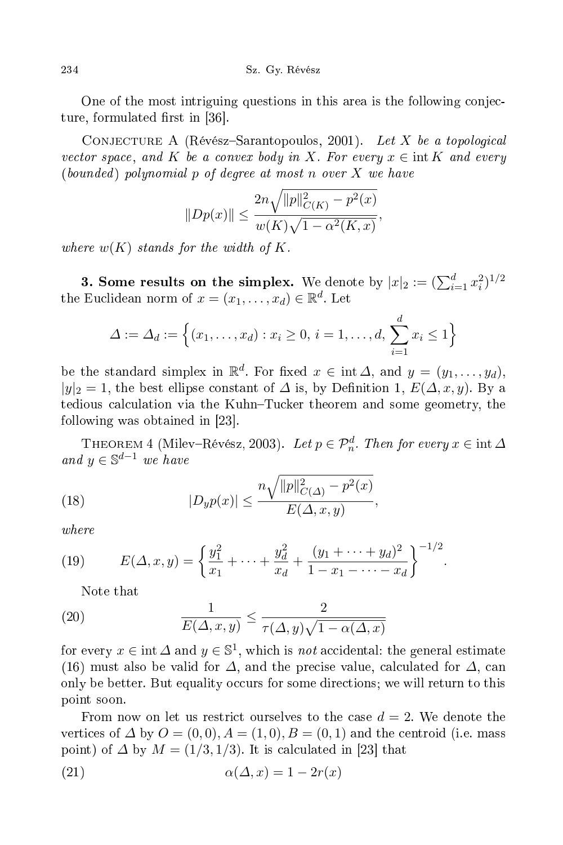234 Sz. Gyermenete a szerepelt a települészek előfogyak a szerepelt a között a között a között a között a közö

One of the most intriguing questions in this area is the following conjectionture, formulated first in [36].

CONJECTURE A (Révész-Sarantopoulos, 2001). Let X be a topological vector space, and K be a convex body in X. For every  $x \in \text{int } K$  and every  $(bounded)$  polynomial p of degree at most n over X we have

$$
||Dp(x)|| \le \frac{2n\sqrt{||p||^2_{C(K)} - p^2(x)}}{w(K)\sqrt{1 - \alpha^2(K,x)}},
$$

where  $w(K)$  stands for the width of K.

3. Some results on the simplex. We denote by  $|x|_2 := (\sum_{i=1}^d x_i^2)^{1/2}$ the Euclidean norm of  $x = (x_1, \ldots, x_d) \in \mathbb{R}^d$ . Let

$$
\Delta := \Delta_d := \left\{ (x_1, \dots, x_d) : x_i \ge 0, \, i = 1, \dots, d, \, \sum_{i=1}^d x_i \le 1 \right\}
$$

be the standard simplex in  $\mathbb{R}^d$ . For fixed  $x \in \text{int } \Delta$ , and  $y = (y_1, \ldots, y_d)$ ,  $|y|_2 = 1$ , the best ellipse constant of  $\Delta$  is, by Definition 1,  $E(\Delta, x, y)$ . By a tedious calculation via the Kuhn–Tucker theorem and some geometry, the following was obtained in  $[23]$ .

THEOREM 4 (Milev–Révész, 2003). Let  $p \in \mathcal{P}_n^d$ . Then for every  $x \in \text{int } \Delta$ and  $y \in \mathbb{S}^{d-1}$  we have

(18) 
$$
|D_{y}p(x)| \leq \frac{n\sqrt{||p||_{C(\Delta)}^2 - p^2(x)}}{E(\Delta, x, y)},
$$

(19) 
$$
E(\Delta, x, y) = \left\{ \frac{y_1^2}{x_1} + \dots + \frac{y_d^2}{x_d} + \frac{(y_1 + \dots + y_d)^2}{1 - x_1 - \dots - x_d} \right\}^{-1/2}.
$$

Note that

(20) 
$$
\frac{1}{E(\Delta, x, y)} \le \frac{2}{\tau(\Delta, y)\sqrt{1 - \alpha(\Delta, x)}}
$$

for every  $x \in \text{int } \Delta$  and  $y \in \mathbb{S}^1$ , which is *not* accidental: the general estimate (16) must also be valid for  $\Delta$ , and the precise value, calculated for  $\Delta$ , can only be better. But equality occurs for some directions; we will return to this point soon.

From now on let us restrict ourselves to the case  $d = 2$ . We denote the vertices of  $\Delta$  by  $O = (0,0), A = (1,0), B = (0,1)$  and the centroid (i.e. mass point) of  $\Delta$  by  $M = (1/3, 1/3)$ . It is calculated in [23] that

(21) 
$$
\alpha(\Delta, x) = 1 - 2r(x)
$$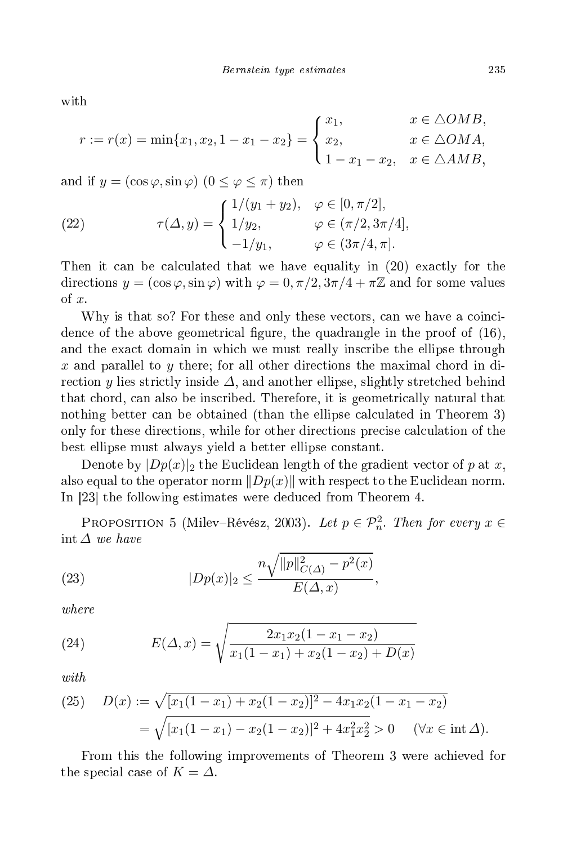with

$$
r := r(x) = \min\{x_1, x_2, 1 - x_1 - x_2\} = \begin{cases} x_1, & x \in \triangle OMB, \\ x_2, & x \in \triangle OMA, \\ 1 - x_1 - x_2, & x \in \triangle AMB, \end{cases}
$$

and if  $y = (\cos \varphi, \sin \varphi)$   $(0 \le \varphi \le \pi)$  then

(22) 
$$
\tau(\Delta, y) = \begin{cases} 1/(y_1 + y_2), & \varphi \in [0, \pi/2], \\ 1/y_2, & \varphi \in (\pi/2, 3\pi/4], \\ -1/y_1, & \varphi \in (3\pi/4, \pi]. \end{cases}
$$

Then it can be calculated that we have equality in (20) exactly for the directions  $y = (\cos \varphi, \sin \varphi)$  with  $\varphi = 0, \pi/2, 3\pi/4 + \pi \mathbb{Z}$  and for some values of x.

Why is that so? For these and only these vectors, can we have a coincidence of the above geometrical figure, the quadrangle in the proof of (16), and the exa
t domain in whi
h we must really ins
ribe the ellipse through x and parallel to y there; for all other directions the maximal chord in direction y lies strictly inside  $\Delta$ , and another ellipse, slightly stretched behind that chord, can also be inscribed. Therefore, it is geometrically natural that nothing better can be obtained (than the ellipse calculated in Theorem 3) only for these directions, while for other directions precise calculation of the best ellipse must always yield a better ellipse onstant.

Denote by  $|Dp(x)|_2$  the Euclidean length of the gradient vector of p at x, also equal to the operator norm  $\|Dp(x)\|$  with respect to the Euclidean norm. In [23] the following estimates were deduced from Theorem 4.

PROPOSITION 5 (Milev–Révész, 2003). Let  $p \in \mathcal{P}_n^2$ . Then for every  $x \in$ int ∆ we have

(23) 
$$
|Dp(x)|_2 \le \frac{n\sqrt{||p||^2_{C(\Delta)} - p^2(x)}}{E(\Delta, x)},
$$

 $where$ 

(24) 
$$
E(\Delta, x) = \sqrt{\frac{2x_1x_2(1 - x_1 - x_2)}{x_1(1 - x_1) + x_2(1 - x_2) + D(x)}}
$$

(25) 
$$
D(x) := \sqrt{[x_1(1-x_1) + x_2(1-x_2)]^2 - 4x_1x_2(1-x_1-x_2)}
$$

$$
= \sqrt{[x_1(1-x_1) - x_2(1-x_2)]^2 + 4x_1^2x_2^2} > 0 \quad (\forall x \in \text{int } \Delta).
$$

From this the following improvements of Theorem 3 were a
hieved for the special case of  $K = \Delta$ .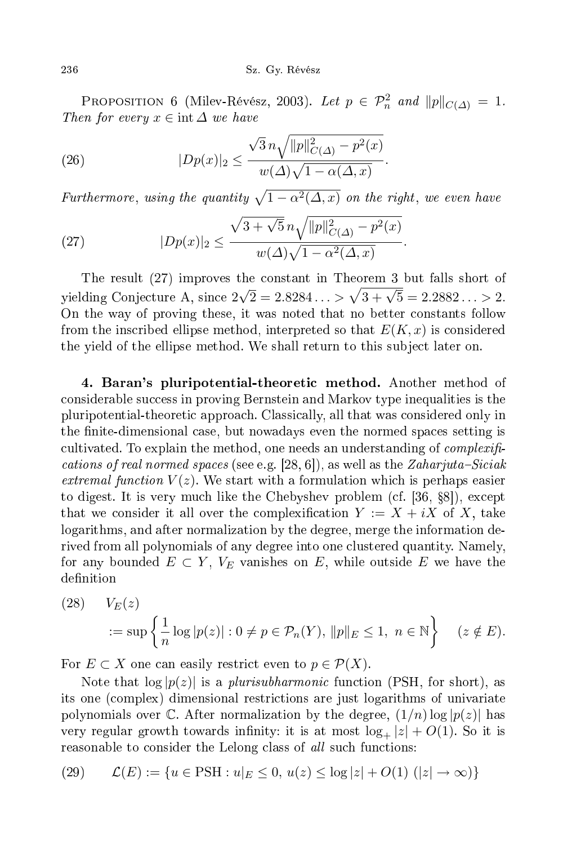PROPOSITION 6 (Milev-Révész, 2003). Let  $p \in \mathcal{P}_n^2$  and  $||p||_{C(\Delta)} = 1$ . Then for every  $x \in \text{int } \Delta$  we have

(26) 
$$
|Dp(x)|_2 \le \frac{\sqrt{3} n \sqrt{||p||^2_{C(\Delta)} - p^2(x)}}{w(\Delta)\sqrt{1 - \alpha(\Delta, x)}}.
$$

Furthermore, using the quantity  $\sqrt{1 - \alpha^2(\Delta, x)}$  on the right, we even have

(27) 
$$
|Dp(x)|_2 \leq \frac{\sqrt{3 + \sqrt{5}n}\sqrt{||p||^2_{C(\Delta)} - p^2(x)}}{w(\Delta)\sqrt{1 - \alpha^2(\Delta, x)}}.
$$

The result (27) improves the onstant in Theorem 3 but falls short of yielding Conjecture A, since  $2\sqrt{2} = 2.8284... > \sqrt{3 + \sqrt{5}} = 2.2882... > 2$ . On the way of proving these, it was noted that no better onstants follow from the inscribed ellipse method, interpreted so that  $E(K, x)$  is considered the yield of the ellipse method. We shall return to this subject later on.

4. Baran's pluripotential-theoreti method. Another method of considerable success in proving Bernstein and Markov type inequalities is the pluripotential-theoreti approa
h. Classi
ally, all that was onsidered only in the finite-dimensional case, but nowadays even the normed spaces setting is cultivated. To explain the method, one needs an understanding of  $complexifi$ ations of real normed spaces of real normed spaces and as well as well as well as well as well as well as well extremal function  $V(z)$ . We start with a formulation which is perhaps easier to digest. It is very much like the Chebyshev problem (cf. [36, §8]), except that we consider it all over the complexification  $Y := X + iX$  of X, take logarithms, and after normalization by the degree, merge the information derived from all polynomials of any degree into one lustered quantity. Namely, for any bounded  $E \subset Y$ ,  $V_E$  vanishes on E, while outside E we have the definition

(28) 
$$
V_E(z)
$$
  

$$
:= \sup \left\{ \frac{1}{n} \log |p(z)| : 0 \neq p \in \mathcal{P}_n(Y), ||p||_E \leq 1, n \in \mathbb{N} \right\} \quad (z \notin E).
$$

For  $E \subset X$  one can easily restrict even to  $p \in \mathcal{P}(X)$ .

Note that  $\log |p(z)|$  is a *plurisubharmonic* function (PSH, for short), as its one (
omplex) dimensional restri
tions are just logarithms of univariate polynomials over C. After normalization by the degree,  $(1/n) \log |p(z)|$  has very regular growth towards infinity: it is at most  $log_{+} |z| + O(1)$ . So it is reasonable to consider the Lelong class of all such functions:

(29) 
$$
\mathcal{L}(E) := \{ u \in \text{PSH} : u|_E \le 0, \, u(z) \le \log |z| + O(1) \, (|z| \to \infty) \}
$$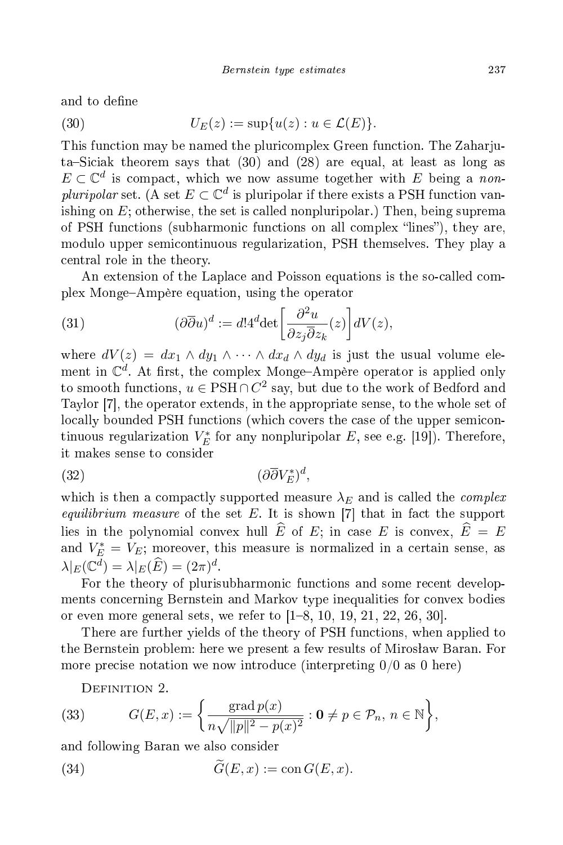and to define

(30) 
$$
U_E(z) := \sup \{ u(z) : u \in \mathcal{L}(E) \}.
$$

This fun
tion may be named the pluri
omplex Green fun
tion. The Zaharjuta–Siciak theorem says that  $(30)$  and  $(28)$  are equal, at least as long as  $E \subset \mathbb{C}^d$  is compact, which we now assume together with E being a nonpluripolar set. (A set  $E \subset \mathbb{C}^d$  is pluripolar if there exists a PSH function vanishing on  $E$ ; otherwise, the set is called nonpluripolar.) Then, being suprema of PSH functions (subharmonic functions on all complex "lines"), they are, modulo upper semi
ontinuous regularization, PSH themselves. They play a entral role in the theory.

An extension of the Laplace and Poisson equations is the so-called complex MongeAmpère equation, using the operator

(31) 
$$
(\partial \overline{\partial} u)^d := d! 4^d \det \left[ \frac{\partial^2 u}{\partial z_j \overline{\partial} z_k}(z) \right] dV(z),
$$

where  $dV(z) = dx_1 \wedge dy_1 \wedge \cdots \wedge dx_d \wedge dy_d$  is just the usual volume element in  $\mathbb{C}^d$ . At first, the complex Monge-Ampère operator is applied only to smooth functions,  $u \in \text{PSH} \cap C^2$  say, but due to the work of Bedford and Taylor [7], the operator extends, in the appropriate sense, to the whole set of locally bounded PSH functions (which covers the case of the upper semicontinuous regularization  $V_E^*$  for any nonpluripolar  $E$ , see e.g. [19]). Therefore, it makes sense to consider

$$
(32)\qquad \qquad (\partial\overline{\partial}V_E^*)^d,
$$

which is then a compactly supported measure  $\lambda_E$  and is called the *complex equilibrium measure* of the set  $E$ . It is shown [7] that in fact the support lies in the polynomial convex hull  $\widehat{E}$  of  $E$ ; in case  $E$  is convex,  $\widehat{E} = E$ and  $V_E^* = V_E$ ; moreover, this measure is normalized in a certain sense, as  $\lambda|_E(\mathbb{C}^d) = \lambda|_E(\widehat{E}) = (2\pi)^d.$ 

For the theory of plurisubharmonic functions and some recent developments on
erning Bernstein and Markov type inequalities for onvex bodies or even more general sets, we refer to  $[1–8, 10, 19, 21, 22, 26, 30]$ .

There are further yields of the theory of PSH functions, when applied to the Bernstein problem: here we present a few results of Mirosław Baran. For more precise notation we now introduce (interpreting  $0/0$  as 0 here)

DEFINITION 2.

(33) 
$$
G(E,x) := \left\{ \frac{\text{grad } p(x)}{n\sqrt{\|p\|^2 - p(x)^2}} : 0 \neq p \in \mathcal{P}_n, n \in \mathbb{N} \right\},\
$$

and following Baran we also onsider

(34) 
$$
\widetilde{G}(E,x) := \text{con } G(E,x).
$$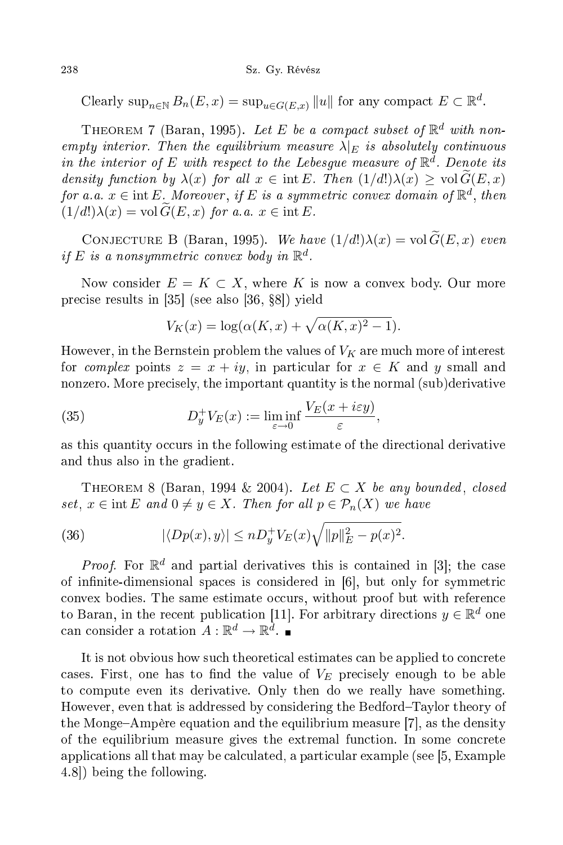Clearly  $\sup_{n\in\mathbb{N}} B_n(E, x) = \sup_{u\in G(E, x)} ||u||$  for any compact  $E \subset \mathbb{R}^d$ .

THEOREM 7 (Baran, 1995). Let E be a compact subset of  $\mathbb{R}^d$  with nonempty interior. Then the equilibrium measure  $\lambda|_E$  is absolutely continuous in the interior of E with respect to the Lebesgue measure of  $\mathbb{R}^d$ . Denote its density function by  $\lambda(x)$  for all  $x \in \text{int } E$ . Then  $(1/d!) \lambda(x) \geq \text{vol } G(E, x)$ for a.a.  $x \in \text{int } E$ . Moreover, if E is a symmetric convex domain of  $\mathbb{R}^d$ , then  $(1/d!) \lambda(x) = \text{vol } G(E, x)$  for a.a.  $x \in \text{int } E$ .

CONJECTURE B (Baran, 1995). We have  $(1/d!) \lambda(x) = \text{vol }\widetilde{G}(E, x)$  even if E is a nonsymmetric convex body in  $\mathbb{R}^d$ .

Now consider  $E = K \subset X$ , where K is now a convex body. Our more precise results in  $[35]$  (see also  $[36, §8]$ ) yield

$$
V_K(x) = \log(\alpha(K, x) + \sqrt{\alpha(K, x)^2 - 1}).
$$

However, in the Bernstein problem the values of  $V_K$  are much more of interest for *complex* points  $z = x + iy$ , in particular for  $x \in K$  and y small and nonzero. More pre
isely, the important quantity is the normal (sub)derivative

(35) 
$$
D_y^+ V_E(x) := \liminf_{\varepsilon \to 0} \frac{V_E(x + i\varepsilon y)}{\varepsilon},
$$

as this quantity occurs in the following estimate of the directional derivative and thus also in the gradient.

THEOREM 8 (Baran, 1994 & 2004). Let  $E \subset X$  be any bounded, closed set,  $x \in \text{int } E$  and  $0 \neq y \in X$ . Then for all  $p \in \mathcal{P}_n(X)$  we have

(36) 
$$
|\langle Dp(x), y \rangle| \leq n D_y^+ V_E(x) \sqrt{\|p\|_E^2 - p(x)^2}.
$$

*Proof.* For  $\mathbb{R}^d$  and partial derivatives this is contained in [3]; the case of infinite-dimensional spaces is considered in [6], but only for symmetric convex bodies. The same estimate occurs, without proof but with reference to Baran, in the recent publication [11]. For arbitrary directions  $y \in \mathbb{R}^d$  one can consider a rotation  $A: \mathbb{R}^d \to \mathbb{R}^d$ .

It is not obvious how su
h theoreti
al estimates an be applied to on
rete cases. First, one has to find the value of  $V_E$  precisely enough to be able to ompute even its derivative. Only then do we really have something. However, even that is addressed by considering the Bedford–Taylor theory of the Monge–Ampère equation and the equilibrium measure  $|7|$ , as the density of the equilibrium measure gives the extremal function. In some concrete applications all that may be calculated, a particular example (see [5, Example  $(4.8)$  being the following.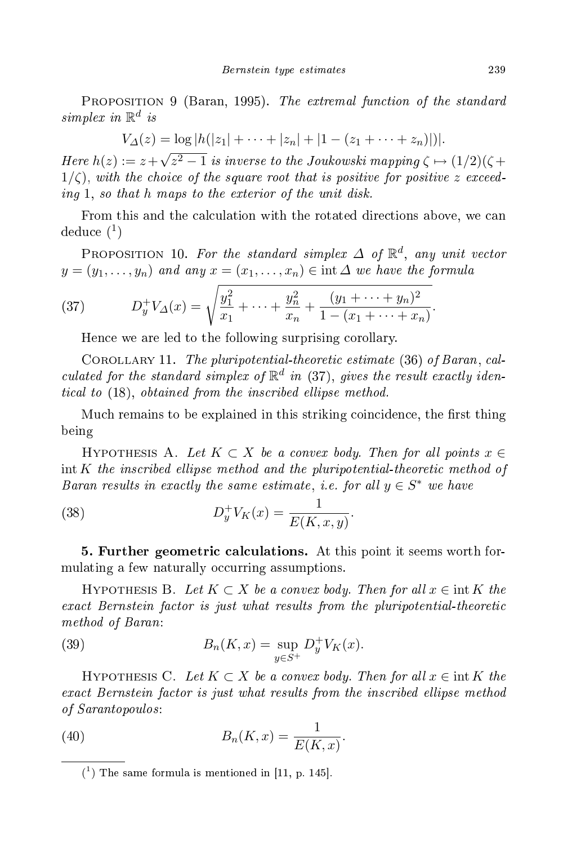PROPOSITION 9 (Baran, 1995). The extremal function of the standard simplex $i n \mathbb{R}^d$ 

 $V_{\Delta}(z) = \log |h(|z_1| + \cdots + |z_n| + |1 - (z_1 + \cdots + z_n)|)|.$ 

Here  $h(z) := z + \sqrt{z^2 - 1}$  is inverse to the Joukowski mapping  $\zeta \mapsto (1/2)(\zeta +$  $1/\zeta$ , with the choice of the square root that is positive for positive z exceeding 1, so that h maps to the exterior of the unit disk.

From this and the calculation with the rotated directions above, we can  $deduce\ (1)$ 

PROPOSITION 10. For the standard simplex  $\Delta$  of  $\mathbb{R}^d$ , any unit vector  $y = (y_1, \ldots, y_n)$  and any  $x = (x_1, \ldots, x_n) \in \text{int } \Delta$  we have the formula

(37) 
$$
D_y^+ V_{\Delta}(x) = \sqrt{\frac{y_1^2}{x_1} + \dots + \frac{y_n^2}{x_n} + \frac{(y_1 + \dots + y_n)^2}{1 - (x_1 + \dots + x_n)}}.
$$

Hence we are led to the following surprising corollary.

COROLLARY 11. The pluripotential-theoretic estimate  $(36)$  of Baran, calculated for the standard simplex of  $\mathbb{R}^d$  in (37), gives the result exactly identi
al to (18), obtained from the ins
ribed el lipse method.

Much remains to be explained in this striking coincidence, the first thing being

HYPOTHESIS A. Let  $K \subset X$  be a convex body. Then for all points  $x \in$  $int K$  the inscribed ellipse method and the pluripotential-theoretic method of Baran results in exactly the same estimate, i.e. for all  $y \in S^*$  we have

(38) 
$$
D_y^+ V_K(x) = \frac{1}{E(K, x, y)}.
$$

5. Further geometri al
ulations. At this point it seems worth formulating a few naturally occurring assumptions.

HYPOTHESIS B. Let  $K \subset X$  be a convex body. Then for all  $x \in \text{int } K$  the exa
t Bernstein fa
tor is just what results from the pluripotential-theoreti method of Baran: Baran: Baran: Baran: Baran: Baran: Baran: Baran: Baran: Baran: Baran: Baran: Baran: Baran: Ba

(39) 
$$
B_n(K, x) = \sup_{y \in S^+} D_y^+ V_K(x).
$$

HYPOTHESIS C. Let  $K \subset X$  be a convex body. Then for all  $x \in \text{int } K$  the exa
t Bernstein fa
tor is just what results from the ins
ribed el lipse method of Sarah Sarah Sarah Sarah Sultan Sarah Sultan Sultan Sultan Sultan Sultan Sultan Sultan Sultan Sultan Sultan S

$$
(40) \t\t Bn(K, x) = \frac{1}{E(K, x)}.
$$

 $(1)$  The same formula is mentioned in [11, p. 145].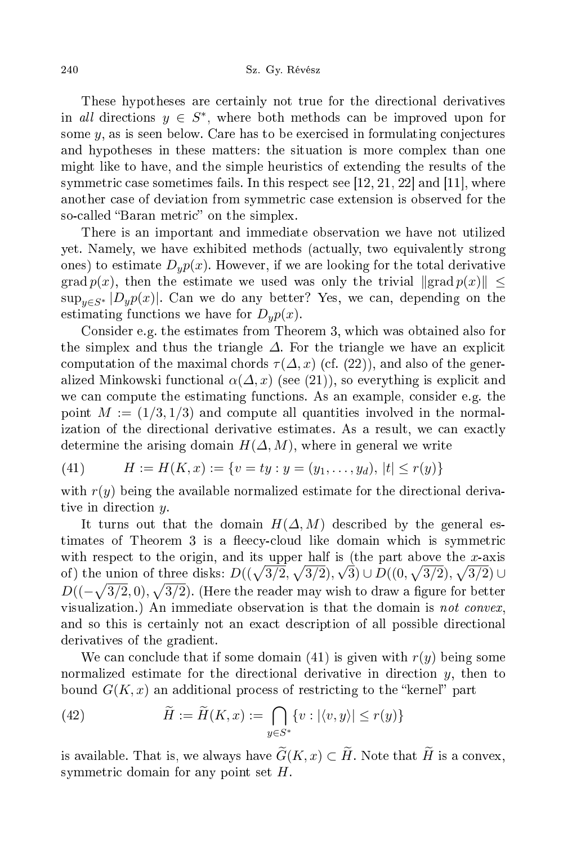These hypotheses are ertainly not true for the dire
tional derivatives in all directions  $y \in S^*$ , where both methods can be improved upon for some  $y$ , as is seen below. Care has to be exercised in formulating conjectures and hypotheses in these matters: the situation is more omplex than one might like to have, and the simple heuristi
s of extending the results of the symmetric case sometimes fails. In this respect see  $[12, 21, 22]$  and  $[11]$ , where another case of deviation from symmetric case extension is observed for the so-called "Baran metric" on the simplex.

There is an important and immediate observation we have not utilized yet. Namely, we have exhibited methods (a
tually, two equivalently strong ones) to estimate  $D_y p(x)$ . However, if we are looking for the total derivative grad  $p(x)$ , then the estimate we used was only the trivial  $\|grad\ p(x)\| \leq$  $\sup_{y \in S^*} |D_y p(x)|$ . Can we do any better? Yes, we can, depending on the estimating functions we have for  $D_u p(x)$ .

Consider e.g. the estimates from Theorem 3, whi
h was obtained also for the simplex and thus the triangle  $\Delta$ . For the triangle we have an explicit computation of the maximal chords  $\tau(\Delta, x)$  (cf. (22)), and also of the generalized Minkowski functional  $\alpha(\Delta,x)$  (see (21)), so everything is explicit and we can compute the estimating functions. As an example, consider e.g. the point  $M := (1/3, 1/3)$  and compute all quantities involved in the normalization of the directional derivative estimates. As a result, we can exactly determine the arising domain  $H(\Delta, M)$ , where in general we write

(41) 
$$
H := H(K, x) := \{v = ty : y = (y_1, \dots, y_d), |t| \le r(y)\}
$$

with  $r(y)$  being the available normalized estimate for the directional derivative in direction y.

It turns out that the domain  $H(\Delta, M)$  described by the general estimates of Theorem 3 is a fleecy-cloud like domain which is symmetric with respect to the origin, and its upper half is (the part above the x-axis of) the union of three disks:  $D((\sqrt{3}/2, \sqrt{3}/2), \sqrt{3}) \cup D((0, \sqrt{3}/2), \sqrt{3}/2) \cup D((0, \sqrt{3}/2), \sqrt{3}/2)$  $D((-\sqrt{3/2},0),\sqrt{3/2})$ . (Here the reader may wish to draw a figure for better visualization.) An immediate observation is that the domain is *not convex*, and so this is ertainly not an exa
t des
ription of all possible dire
tional derivatives of the gradient.

We can conclude that if some domain (41) is given with  $r(y)$  being some normalized estimate for the directional derivative in direction  $y$ , then to bound  $G(K, x)$  an additional process of restricting to the "kernel" part

(42) 
$$
\widetilde{H} := \widetilde{H}(K, x) := \bigcap_{y \in S^*} \{v : |\langle v, y \rangle| \le r(y)\}
$$

is available. That is, we always have  $\widetilde{G}(K,x) \subset \widetilde{H}$ . Note that  $\widetilde{H}$  is a convex, symmetric domain for any point set  $H$ .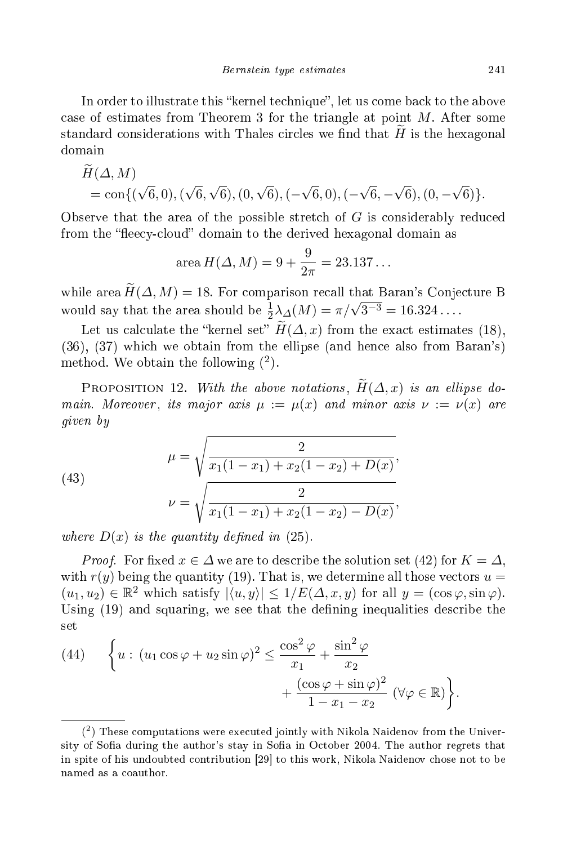In order to illustrate this "kernel technique", let us come back to the above case of estimates from Theorem 3 for the triangle at point  $M$ . After some standard considerations with Thales circles we find that  $H$  is the hexagonal domain

$$
H(\Delta, M) = \text{con}\{(\sqrt{6}, 0), (\sqrt{6}, \sqrt{6}), (0, \sqrt{6}), (-\sqrt{6}, 0), (-\sqrt{6}, -\sqrt{6}), (0, -\sqrt{6})\}.
$$

Observe that the area of the possible stretch of  $G$  is considerably reduced from the "fleecy-cloud" domain to the derived hexagonal domain as

area 
$$
H(\Delta, M) = 9 + \frac{9}{2\pi} = 23.137...
$$

while area  $\widetilde{H}(\Delta, M) = 18$ . For comparison recall that Baran's Conjecture B would say that the area should be  $\frac{1}{2}\lambda_{\Delta}(M) = \pi/\sqrt{3^{-3}} = 16.324...$ 

Let us calculate the "kernel set"  $\widetilde{H}(\Delta, x)$  from the exact estimates (18), (36), (37) whi
h we obtain from the ellipse (and hen
e also from Baran's) method. We obtain the following  $(2)$ .

PROPOSITION 12. With the above notations,  $\widetilde{H}(\Delta, x)$  is an ellipse domain. Moreover, its major axis  $\mu := \mu(x)$  and minor axis  $\nu := \nu(x)$  are given by the contract of the contract of the contract of the contract of the contract of the contract of the contract of the contract of the contract of the contract of the contract of the contract of the contract of the c

(43) 
$$
\mu = \sqrt{\frac{2}{x_1(1-x_1) + x_2(1-x_2) + D(x)}},
$$

$$
\nu = \sqrt{\frac{2}{x_1(1-x_1) + x_2(1-x_2) - D(x)}},
$$

where  $D(x)$  is the quantity defined in (25).

*Proof.* For fixed  $x \in \Delta$  we are to describe the solution set (42) for  $K = \Delta$ , with  $r(y)$  being the quantity (19). That is, we determine all those vectors  $u =$  $(u_1, u_2) \in \mathbb{R}^2$  which satisfy  $|\langle u, y \rangle| \leq 1/E(\Delta, x, y)$  for all  $y = (\cos \varphi, \sin \varphi)$ . Using (19) and squaring, we see that the defining inequalities describe the set

(44) 
$$
\left\{ u : (u_1 \cos \varphi + u_2 \sin \varphi)^2 \le \frac{\cos^2 \varphi}{x_1} + \frac{\sin^2 \varphi}{x_2} + \frac{(\cos \varphi + \sin \varphi)^2}{1 - x_1 - x_2} (\forall \varphi \in \mathbb{R}) \right\}.
$$

<sup>(</sup> 2 ) These omputations were exe
uted jointly with Nikola Naidenov from the University of Sofia during the author's stay in Sofia in October 2004. The author regrets that in spite of his undoubted contribution [29] to this work, Nikola Naidenov chose not to be named as a oauthor.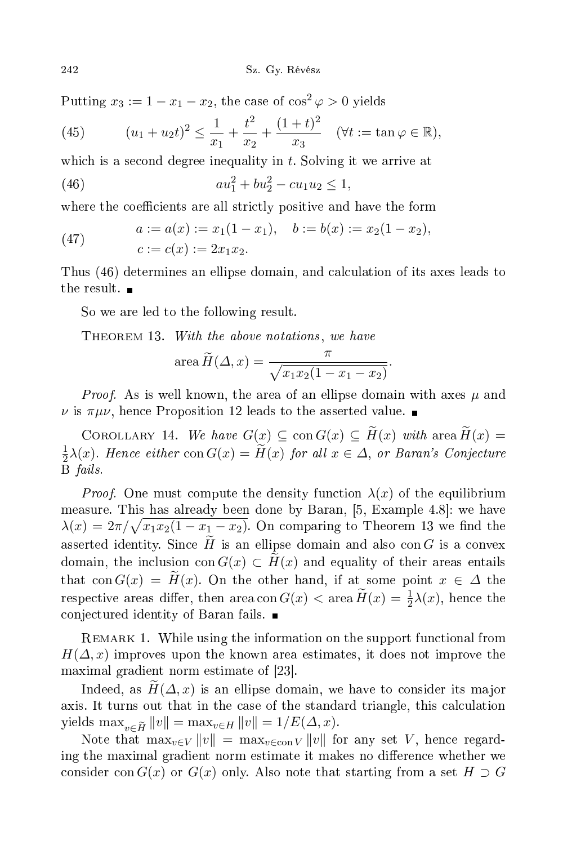Putting  $x_3 := 1 - x_1 - x_2$ , the case of  $\cos^2 \varphi > 0$  yields

(45) 
$$
(u_1 + u_2 t)^2 \le \frac{1}{x_1} + \frac{t^2}{x_2} + \frac{(1+t)^2}{x_3} \quad (\forall t := \tan \varphi \in \mathbb{R}),
$$

which is a second degree inequality in  $t$ . Solving it we arrive at

(46) 
$$
au_1^2 + bu_2^2 - cu_1u_2 \le 1,
$$

where the coefficients are all strictly positive and have the form

(47) 
$$
a := a(x) := x_1(1 - x_1), \quad b := b(x) := x_2(1 - x_2),
$$

$$
c := c(x) := 2x_1x_2.
$$

Thus (46) determines an ellipse domain, and calculation of its axes leads to the result.  $\blacksquare$ 

So we are led to the following result.

THEOREM 13. With the above notations, we have

area 
$$
\widetilde{H}(\Delta, x) = \frac{\pi}{\sqrt{x_1 x_2 (1 - x_1 - x_2)}}
$$
.

*Proof.* As is well known, the area of an ellipse domain with axes  $\mu$  and  $\nu$  is  $\pi \mu \nu$ , hence Proposition 12 leads to the asserted value.

COROLLARY 14. We have  $G(x) \subseteq \text{con } G(x) \subseteq \widetilde{H}(x)$  with area  $\widetilde{H}(x) =$ 1  $\frac{1}{2}\lambda(x)$ . Hence either  $\text{con } G(x) = H(x)$  for all  $x \in \Delta$ , or Baran's Conjecture B fails.

*Proof.* One must compute the density function  $\lambda(x)$  of the equilibrium measure. This has already been done by Baran, [5, Example 4.8]: we have  $\lambda(x) = 2\pi/\sqrt{x_1 x_2(1 - x_1 - x_2)}$ . On comparing to Theorem 13 we find the asserted identity. Since H is an ellipse domain and also con G is a convex domain, the inclusion con  $G(x) \subset H(x)$  and equality of their areas entails that con  $G(x) = H(x)$ . On the other hand, if at some point  $x \in \Delta$  the respective areas differ, then area con  $G(x) < \text{area } H(x) = \frac{1}{2}\lambda(x)$ , hence the onje
tured identity of Baran fails.

REMARK 1. While using the information on the support functional from  $H(\Delta, x)$  improves upon the known area estimates, it does not improve the maximal gradient norm estimate of [23].

Indeed, as  $H(\Delta, x)$  is an ellipse domain, we have to consider its major axis. It turns out that in the case of the standard triangle, this calculation yields  $\max_{v \in \widetilde{H}} ||v|| = \max_{v \in H} ||v|| = 1/E(\Delta, x).$ 

Note that  $\max_{v \in V} ||v|| = \max_{v \in \text{con } V} ||v||$  for any set V, hence regarding the maximal gradient norm estimate it makes no difference whether we consider con  $G(x)$  or  $G(x)$  only. Also note that starting from a set  $H \supset G$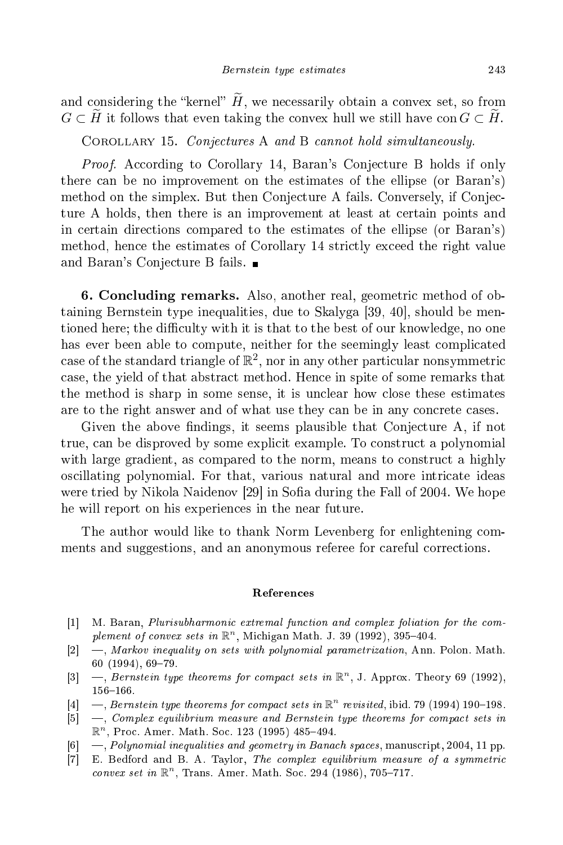and considering the "kernel"  $\tilde{H}$ , we necessarily obtain a convex set, so from  $G \subset H$  it follows that even taking the convex hull we still have con  $G \subset H$ .

COROLLARY 15. Conjectures A and B cannot hold simultaneously.

*Proof.* According to Corollary 14, Baran's Conjecture B holds if only there an be no improvement on the estimates of the ellipse (or Baran's) method on the simplex. But then Conjecture A fails. Conversely, if Conjecture A holds, then there is an improvement at least at ertain points and in ertain dire
tions ompared to the estimates of the ellipse (or Baran's) method, hence the estimates of Corollary 14 strictly exceed the right value and Baran's Conje
ture B fails.

6. Con
luding remarks. Also, another real, geometri method of obtaining Bernstein type inequalities, due to Skalyga [39, 40], should be mentioned here; the difficulty with it is that to the best of our knowledge, no one has ever been able to compute, neither for the seemingly least complicated case of the standard triangle of  $\mathbb{R}^2$ , nor in any other particular nonsymmetric ase, the yield of that abstra
t method. Hen
e in spite of some remarks that the method is sharp in some sense, it is un
lear how lose these estimates are to the right answer and of what use they can be in any concrete cases.

Given the above findings, it seems plausible that Conjecture A, if not true, can be disproved by some explicit example. To construct a polynomial with large gradient, as compared to the norm, means to construct a highly os
illating polynomial. For that, various natural and more intri
ate ideas were tried by Nikola Naidenov [29] in Sofia during the Fall of 2004. We hope he will report on his experien
es in the near future.

The author would like to thank Norm Levenberg for enlightening comments and suggestions, and an anonymous referee for careful corrections.

## Referen
es

- [1] M. Baran, *Plurisubharmonic extremal function and complex foliation for the com*plement of convex sets in  $\mathbb{R}^n$ , Michigan Math. J. 39 (1992), 395-404.
- $[2] \quad$ , Markov inequality on sets with polynomial parametrization, Ann. Polon. Math.  $60$   $(1994)$ ,  $69-79$ .
- [3]  $\overline{a}$ , Bernstein type theorems for compact sets in  $\mathbb{R}^n$ , J. Approx. Theory 69 (1992), 156-166.
- [4]  $-$ , Bernstein type theorems for compact sets in  $\mathbb{R}^n$  revisited, ibid. 79 (1994) 190–198.
- $[5] \quad$ , Complex equilibrium measure and Bernstein type theorems for compact sets in  $\mathbb{R}^n$ , Proc. Amer. Math. Soc. 123 (1995) 485-494.
- [6]  $\rightarrow$ , *Polynomial inequalities and geometry in Banach spaces*, manuscript, 2004, 11 pp.
- [7] E. Bedford and B. A. Taylor, The complex equilibrium measure of a symmetric convex set in  $\mathbb{R}^n$ , Trans. Amer. Math. Soc. 294 (1986), 705-717.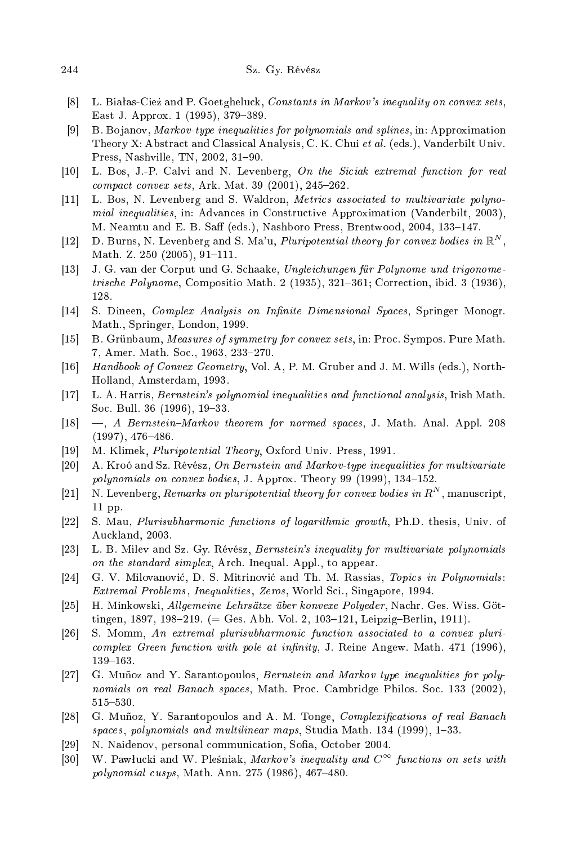- [8] L. Białas-Cież and P. Goetgheluck, Constants in Markov's inequality on convex sets, East J. Approx. 1 (1995), 379-389.
- [9] B. Bojanov, Markov-type inequalities for polynomials and splines, in: Approximation Theory X: Abstract and Classical Analysis, C. K. Chui et al. (eds.), Vanderbilt Univ. Press, Nashville, TN, 2002, 31-90.
- [10] L. Bos, J.-P. Calvi and N. Levenberg, On the Siciak extremal function for real compact convex sets, Ark. Mat. 39 (2001), 245-262.
- $[11]$ L. Bos, N. Levenberg and S. Waldron, *Metrics associated to multivariate polyno*iated to multivariate  $\mathcal{U}$  and  $\mathcal{U}$  and  $\mathcal{U}$  and  $\mathcal{U}$  are pointed to multivariate polynomials  $\mathcal{U}$ mial inequalities, in: Advan
es in Constru
tive Approximation (Vanderbilt, 2003), M. Neamtu and E. B. Saff (eds.), Nashboro Press, Brentwood, 2004, 133-147.
- [12] D. Burns, N. Levenberg and S. Ma'u, *Pluripotential theory for convex bodies in*  $\mathbb{R}^N$ , Math. Z.  $250(2005)$ , 91-111.
- [13] J. G. van der Corput und G. Schaake, Ungleichungen für Polynome und trigonometrische Polynome, Compositio Math. 2 (1935), 321-361; Correction, ibid. 3 (1936), 128.
- [14] S. Dineen, Complex Analysis on Infinite Dimensional Spaces, Springer Monogr. Math., Springer, London, 1999.
- [15] B. Grünbaum, Measures of symmetry for convex sets, in: Proc. Sympos. Pure Math. 7, Amer. Math. Soc., 1963, 233-270.
- [16] Handbook of Convex Geometry, Vol. A, P. M. Gruber and J. M. Wills (eds.), North-Holland, Amsterdam, 1993.
- [17] L. A. Harris, *Bernstein's polynomial inequalities and functional analysis*, Irish Math. Soc. Bull. 36 (1996), 19–33.
- [18]  $\ldots$ , A Bernstein-Markov theorem for normed spaces, J. Math. Anal. Appl. 208  $(1997), 476 - 486.$
- [19] M. Klimek, *Pluripotential Theory*, Oxford Univ. Press, 1991.
- [20] A. Kroó and Sz. Révész, On Bernstein and Markov-type inequalities for multivariate polynomials on convex bodies, J. Approx. Theory 99 (1999), 134-152.
- [21] N. Levenberg, Remarks on pluripotential theory for convex bodies in  $R^N$ , manuscript, 11 pp.
- [22] S. Mau, *Plurisubharmonic functions of logarithmic growth*, Ph.D. thesis, Univ. of Au
kland, 2003.
- [23] L. B. Milev and Sz. Gy. Révész, Bernstein's inequality for multivariate polynomials on the standard simplex, Arch. Inequal. Appl., to appear.
- [24] G. V. Milovanović, D. S. Mitrinović and Th. M. Rassias, Topics in Polynomials: Extremal Problems, Inequalities, Zeros, World Sci., Singapore, 1994.
- [25] H. Minkowski, Allgemeine Lehrsätze über konvexe Polyeder, Nachr. Ges. Wiss. Göttingen, 1897, 198-219. (= Ges. Abh. Vol. 2, 103-121, Leipzig-Berlin, 1911).
- [26] S. Momm, An extremal plurisubharmonic function associated to a convex pluri $complex\, Green\, function\, with\, pole\, at\, infinity, J.$  Reine Angew. Math. 471 (1996), 139-163.
- [27] G. Muñoz and Y. Sarantopoulos, Bernstein and Markov type inequalities for polynomials on real Banach spaces, Math. Proc. Cambridge Philos. Soc. 133 (2002), 515-530.
- [28] G. Muñoz, Y. Sarantopoulos and A. M. Tonge, Complexifications of real Banach spaces, polynomials and multilinear maps, Studia Math.  $134$  (1999),  $1-33$ .
- [29] N. Naidenov, personal communication, Sofia, October 2004.
- [30] W. Pawłucki and W. Pleśniak, Markov's inequality and  $C^{\infty}$  functions on sets with polynomial cusps, Math. Ann. 275 (1986), 467-480.